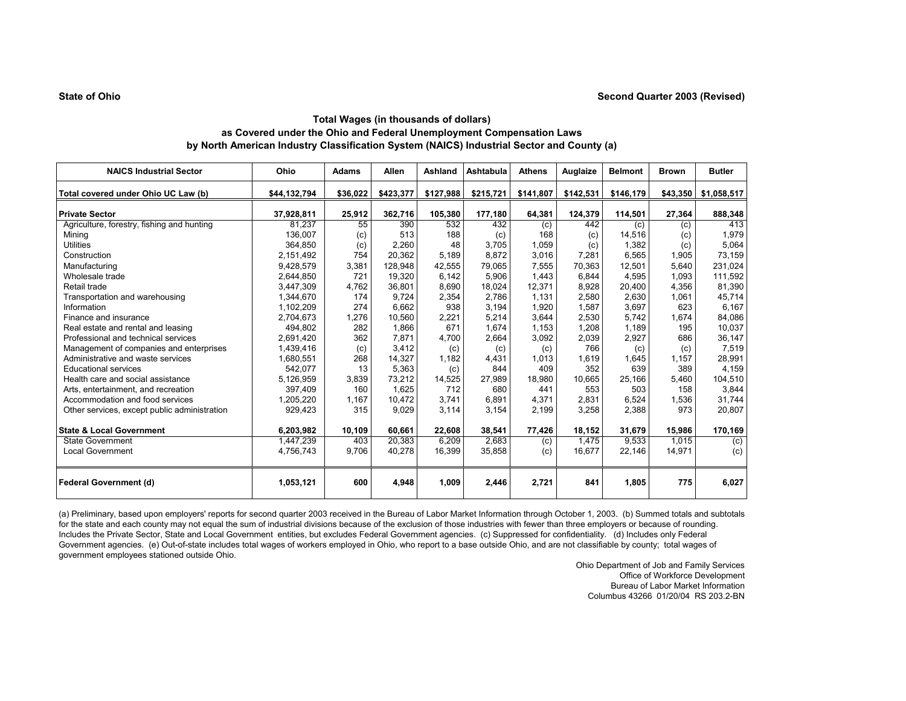| <b>NAICS Industrial Sector</b>               | Ohio         | Adams    | Allen     | Ashland   | Ashtabula | <b>Athens</b> | Auglaize  | <b>Belmont</b> | <b>Brown</b> | <b>Butler</b> |
|----------------------------------------------|--------------|----------|-----------|-----------|-----------|---------------|-----------|----------------|--------------|---------------|
| Total covered under Ohio UC Law (b)          | \$44,132,794 | \$36,022 | \$423,377 | \$127,988 | \$215,721 | \$141,807     | \$142,531 | \$146,179      | \$43,350     | \$1,058,517   |
| <b>Private Sector</b>                        | 37,928,811   | 25,912   | 362,716   | 105,380   | 177,180   | 64,381        | 124,379   | 114,501        | 27,364       | 888,348       |
| Agriculture, forestry, fishing and hunting   | 81.237       | 55       | 390       | 532       | 432       | (c)           | 442       | (c)            | (c)          | 413           |
| Mining                                       | 136,007      | (c)      | 513       | 188       | (c)       | 168           | (c)       | 14,516         | (c)          | 1,979         |
| <b>Utilities</b>                             | 364,850      | (c)      | 2,260     | 48        | 3.705     | 1,059         | (c)       | 1,382          | (c)          | 5,064         |
| Construction                                 | 2,151,492    | 754      | 20,362    | 5.189     | 8.872     | 3,016         | 7.281     | 6.565          | 1.905        | 73,159        |
| Manufacturing                                | 9,428,579    | 3,381    | 128,948   | 42,555    | 79,065    | 7,555         | 70,363    | 12,501         | 5,640        | 231,024       |
| Wholesale trade                              | 2,644,850    | 721      | 19,320    | 6,142     | 5,906     | 1,443         | 6.844     | 4,595          | 1.093        | 111,592       |
| Retail trade                                 | 3.447.309    | 4,762    | 36,801    | 8,690     | 18,024    | 12,371        | 8,928     | 20,400         | 4.356        | 81,390        |
| Transportation and warehousing               | 1,344,670    | 174      | 9.724     | 2,354     | 2.786     | 1.131         | 2,580     | 2,630          | 1,061        | 45,714        |
| Information                                  | 1,102,209    | 274      | 6,662     | 938       | 3,194     | 1,920         | 1.587     | 3,697          | 623          | 6,167         |
| Finance and insurance                        | 2.704.673    | 1,276    | 10,560    | 2,221     | 5,214     | 3.644         | 2,530     | 5.742          | 1,674        | 84,086        |
| Real estate and rental and leasing           | 494,802      | 282      | 1,866     | 671       | 1,674     | 1,153         | 1,208     | 1,189          | 195          | 10,037        |
| Professional and technical services          | 2,691,420    | 362      | 7,871     | 4,700     | 2,664     | 3,092         | 2,039     | 2,927          | 686          | 36,147        |
| Management of companies and enterprises      | 1,439,416    | (c)      | 3,412     | (c)       | (c)       | (c)           | 766       | (c)            | (c)          | 7,519         |
| Administrative and waste services            | 1,680,551    | 268      | 14,327    | 1,182     | 4,431     | 1,013         | 1,619     | 1,645          | 1,157        | 28,991        |
| <b>Educational services</b>                  | 542,077      | 13       | 5,363     | (c)       | 844       | 409           | 352       | 639            | 389          | 4,159         |
| Health care and social assistance            | 5,126,959    | 3,839    | 73,212    | 14.525    | 27.989    | 18.980        | 10.665    | 25,166         | 5,460        | 104,510       |
| Arts, entertainment, and recreation          | 397.409      | 160      | 1.625     | 712       | 680       | 441           | 553       | 503            | 158          | 3,844         |
| Accommodation and food services              | 1,205,220    | 1.167    | 10,472    | 3,741     | 6,891     | 4.371         | 2,831     | 6,524          | 1,536        | 31,744        |
| Other services, except public administration | 929,423      | 315      | 9,029     | 3,114     | 3,154     | 2,199         | 3,258     | 2,388          | 973          | 20,807        |
| <b>State &amp; Local Government</b>          | 6,203,982    | 10,109   | 60,661    | 22,608    | 38,541    | 77,426        | 18,152    | 31,679         | 15,986       | 170,169       |
| <b>State Government</b>                      | 1,447,239    | 403      | 20,383    | 6,209     | 2,683     | (c)           | 1,475     | 9,533          | 1,015        | (c)           |
| <b>Local Government</b>                      | 4,756,743    | 9.706    | 40,278    | 16,399    | 35,858    | (c)           | 16.677    | 22.146         | 14.971       | (c)           |
| <b>Federal Government (d)</b>                | 1,053,121    | 600      | 4,948     | 1,009     | 2,446     | 2,721         | 841       | 1,805          | 775          | 6,027         |

(a) Preliminary, based upon employers' reports for second quarter 2003 received in the Bureau of Labor Market Information through October 1, 2003. (b) Summed totals and subtotals for the state and each county may not equal the sum of industrial divisions because of the exclusion of those industries with fewer than three employers or because of rounding. Includes the Private Sector, State and Local Government entities, but excludes Federal Government agencies. (c) Suppressed for confidentiality. (d) Includes only Federal Government agencies. (e) Out-of-state includes total wages of workers employed in Ohio, who report to a base outside Ohio, and are not classifiable by county; total wages of government employees stationed outside Ohio.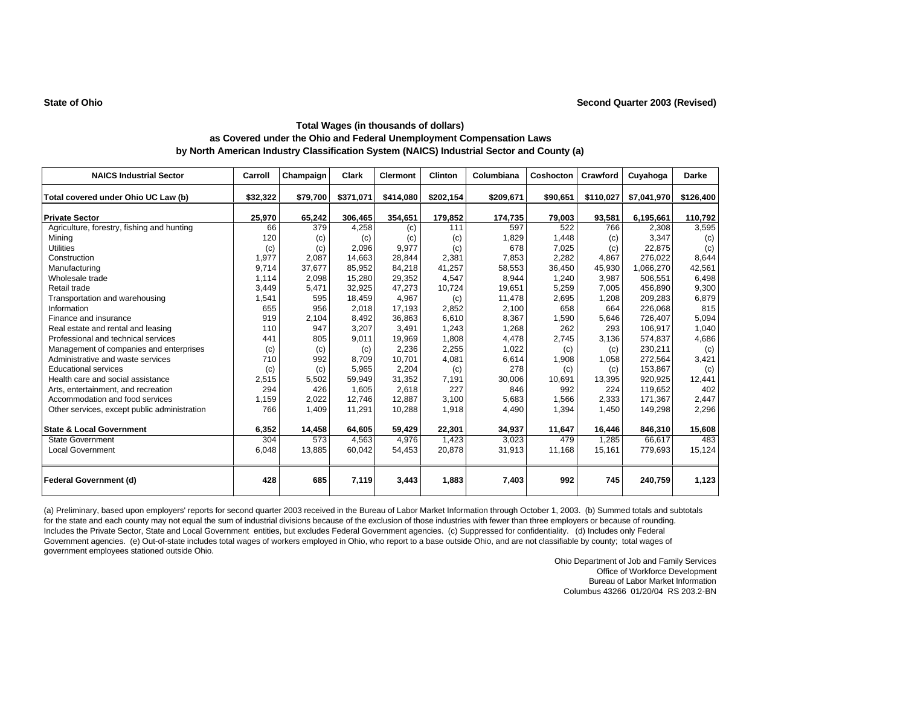| <b>NAICS Industrial Sector</b>               | Carroll  | Champaign | Clark     | <b>Clermont</b> | <b>Clinton</b> | Columbiana | Coshocton | Crawford  | Cuyahoga    | <b>Darke</b> |
|----------------------------------------------|----------|-----------|-----------|-----------------|----------------|------------|-----------|-----------|-------------|--------------|
| Total covered under Ohio UC Law (b)          | \$32,322 | \$79,700  | \$371,071 | \$414,080       | \$202,154      | \$209,671  | \$90,651  | \$110,027 | \$7,041,970 | \$126,400    |
|                                              |          |           |           |                 |                |            |           |           |             |              |
| <b>Private Sector</b>                        | 25,970   | 65,242    | 306,465   | 354,651         | 179,852        | 174,735    | 79,003    | 93,581    | 6,195,661   | 110,792      |
| Agriculture, forestry, fishing and hunting   | 66       | 379       | 4,258     | (c)             | 111            | 597        | 522       | 766       | 2,308       | 3,595        |
| Minina                                       | 120      | (c)       | (c)       | (c)             | (c)            | 1,829      | 1,448     | (c)       | 3.347       | (c)          |
| <b>Utilities</b>                             | (c)      | (c)       | 2,096     | 9,977           | (c)            | 678        | 7,025     | (c)       | 22,875      | (c)          |
| Construction                                 | 1,977    | 2,087     | 14,663    | 28,844          | 2,381          | 7,853      | 2,282     | 4,867     | 276.022     | 8,644        |
| Manufacturing                                | 9,714    | 37,677    | 85,952    | 84,218          | 41,257         | 58,553     | 36,450    | 45,930    | 1,066,270   | 42,561       |
| Wholesale trade                              | 1,114    | 2,098     | 15,280    | 29,352          | 4,547          | 8,944      | 1,240     | 3,987     | 506,551     | 6,498        |
| Retail trade                                 | 3,449    | 5,471     | 32,925    | 47,273          | 10,724         | 19,651     | 5,259     | 7.005     | 456,890     | 9,300        |
| Transportation and warehousing               | 1,541    | 595       | 18,459    | 4,967           | (c)            | 11,478     | 2,695     | 1,208     | 209,283     | 6,879        |
| Information                                  | 655      | 956       | 2,018     | 17,193          | 2,852          | 2,100      | 658       | 664       | 226,068     | 815          |
| Finance and insurance                        | 919      | 2,104     | 8,492     | 36,863          | 6,610          | 8,367      | 1,590     | 5,646     | 726,407     | 5,094        |
| Real estate and rental and leasing           | 110      | 947       | 3,207     | 3,491           | 1,243          | 1,268      | 262       | 293       | 106,917     | 1,040        |
| Professional and technical services          | 441      | 805       | 9,011     | 19,969          | 1,808          | 4,478      | 2,745     | 3,136     | 574,837     | 4,686        |
| Management of companies and enterprises      | (c)      | (c)       | (c)       | 2,236           | 2,255          | 1,022      | (c)       | (c)       | 230,211     | (c)          |
| Administrative and waste services            | 710      | 992       | 8.709     | 10,701          | 4,081          | 6,614      | 1,908     | 1,058     | 272,564     | 3,421        |
| <b>Educational services</b>                  | (c)      | (c)       | 5,965     | 2,204           | (c)            | 278        | (c)       | (c)       | 153,867     | (c)          |
| Health care and social assistance            | 2,515    | 5,502     | 59,949    | 31,352          | 7,191          | 30,006     | 10.691    | 13,395    | 920.925     | 12,441       |
| Arts, entertainment, and recreation          | 294      | 426       | 1,605     | 2,618           | 227            | 846        | 992       | 224       | 119.652     | 402          |
| Accommodation and food services              | 1,159    | 2,022     | 12,746    | 12,887          | 3,100          | 5,683      | 1,566     | 2,333     | 171,367     | 2,447        |
| Other services, except public administration | 766      | 1,409     | 11,291    | 10,288          | 1,918          | 4,490      | 1,394     | 1,450     | 149,298     | 2,296        |
| <b>State &amp; Local Government</b>          | 6,352    | 14,458    | 64,605    | 59,429          | 22,301         | 34,937     | 11,647    | 16,446    | 846,310     | 15,608       |
| <b>State Government</b>                      | 304      | 573       | 4,563     | 4,976           | 1,423          | 3.023      | 479       | 1.285     | 66.617      | 483          |
| <b>Local Government</b>                      | 6,048    | 13,885    | 60,042    | 54,453          | 20,878         | 31,913     | 11,168    | 15,161    | 779,693     | 15,124       |
| <b>Federal Government (d)</b>                | 428      | 685       | 7,119     | 3,443           | 1,883          | 7,403      | 992       | 745       | 240,759     | 1,123        |

(a) Preliminary, based upon employers' reports for second quarter 2003 received in the Bureau of Labor Market Information through October 1, 2003. (b) Summed totals and subtotals for the state and each county may not equal the sum of industrial divisions because of the exclusion of those industries with fewer than three employers or because of rounding. Includes the Private Sector, State and Local Government entities, but excludes Federal Government agencies. (c) Suppressed for confidentiality. (d) Includes only Federal Government agencies. (e) Out-of-state includes total wages of workers employed in Ohio, who report to a base outside Ohio, and are not classifiable by county; total wages of government employees stationed outside Ohio.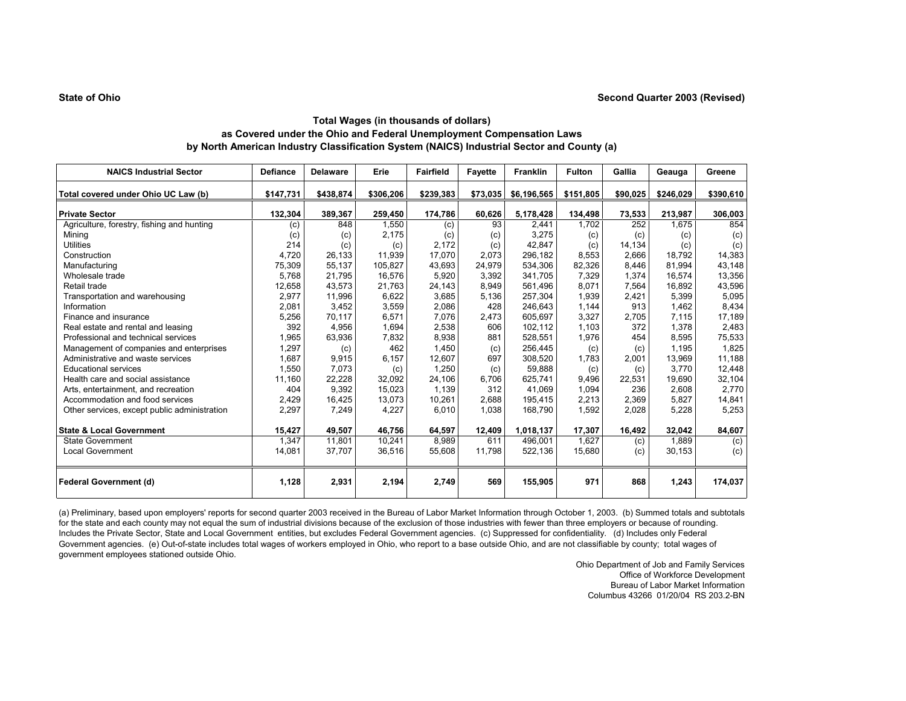| <b>NAICS Industrial Sector</b>               | <b>Defiance</b> | <b>Delaware</b> | Erie      | <b>Fairfield</b> | <b>Fayette</b> | <b>Franklin</b> | <b>Fulton</b> | Gallia   | Geauga    | Greene    |
|----------------------------------------------|-----------------|-----------------|-----------|------------------|----------------|-----------------|---------------|----------|-----------|-----------|
| Total covered under Ohio UC Law (b)          | \$147,731       | \$438,874       | \$306,206 | \$239,383        | \$73,035       | \$6,196,565     | \$151,805     | \$90,025 | \$246,029 | \$390,610 |
| <b>Private Sector</b>                        | 132,304         | 389,367         | 259,450   | 174,786          | 60,626         | 5,178,428       | 134,498       | 73,533   | 213,987   | 306,003   |
| Agriculture, forestry, fishing and hunting   | (c)             | 848             | 1,550     | (c)              | 93             | 2,441           | 1.702         | 252      | 1.675     | 854       |
| Mining                                       | (c)             | (c)             | 2,175     | (c)              | (c)            | 3,275           | (c)           | (c)      | (c)       | (c)       |
| <b>Utilities</b>                             | 214             | (c)             | (c)       | 2,172            | (c)            | 42.847          | (c)           | 14,134   | (c)       | (c)       |
| Construction                                 | 4,720           | 26,133          | 11,939    | 17,070           | 2,073          | 296,182         | 8,553         | 2,666    | 18.792    | 14,383    |
| Manufacturing                                | 75,309          | 55,137          | 105,827   | 43,693           | 24,979         | 534.306         | 82,326        | 8.446    | 81.994    | 43,148    |
| Wholesale trade                              | 5,768           | 21,795          | 16,576    | 5,920            | 3,392          | 341,705         | 7,329         | 1,374    | 16,574    | 13,356    |
| Retail trade                                 | 12,658          | 43,573          | 21,763    | 24,143           | 8,949          | 561,496         | 8,071         | 7,564    | 16,892    | 43,596    |
| Transportation and warehousing               | 2,977           | 11,996          | 6,622     | 3,685            | 5,136          | 257,304         | 1,939         | 2,421    | 5,399     | 5,095     |
| Information                                  | 2,081           | 3,452           | 3,559     | 2,086            | 428            | 246.643         | 1.144         | 913      | 1,462     | 8,434     |
| Finance and insurance                        | 5,256           | 70,117          | 6,571     | 7,076            | 2,473          | 605.697         | 3,327         | 2.705    | 7.115     | 17,189    |
| Real estate and rental and leasing           | 392             | 4,956           | 1,694     | 2,538            | 606            | 102,112         | 1,103         | 372      | 1,378     | 2,483     |
| Professional and technical services          | 1,965           | 63,936          | 7,832     | 8,938            | 881            | 528,551         | 1,976         | 454      | 8,595     | 75,533    |
| Management of companies and enterprises      | 1,297           | (c)             | 462       | 1.450            | (c)            | 256,445         | (c)           | (c)      | 1.195     | 1,825     |
| Administrative and waste services            | 1,687           | 9,915           | 6,157     | 12,607           | 697            | 308,520         | 1,783         | 2,001    | 13,969    | 11,188    |
| <b>Educational services</b>                  | 1,550           | 7,073           | (c)       | 1,250            | (c)            | 59,888          | (c)           | (c)      | 3.770     | 12,448    |
| Health care and social assistance            | 11,160          | 22,228          | 32,092    | 24,106           | 6,706          | 625.741         | 9,496         | 22.531   | 19,690    | 32,104    |
| Arts, entertainment, and recreation          | 404             | 9,392           | 15,023    | 1,139            | 312            | 41.069          | 1,094         | 236      | 2,608     | 2,770     |
| Accommodation and food services              | 2,429           | 16,425          | 13,073    | 10,261           | 2,688          | 195,415         | 2,213         | 2,369    | 5,827     | 14,841    |
| Other services, except public administration | 2,297           | 7,249           | 4,227     | 6,010            | 1,038          | 168,790         | 1,592         | 2,028    | 5,228     | 5,253     |
| <b>State &amp; Local Government</b>          | 15,427          | 49,507          | 46,756    | 64,597           | 12,409         | 1,018,137       | 17,307        | 16,492   | 32,042    | 84,607    |
| <b>State Government</b>                      | 1,347           | 11,801          | 10,241    | 8,989            | 611            | 496.001         | 1,627         | (c)      | 1,889     | (c)       |
| <b>Local Government</b>                      | 14,081          | 37,707          | 36,516    | 55,608           | 11.798         | 522,136         | 15,680        | (c)      | 30,153    | (c)       |
| <b>Federal Government (d)</b>                | 1,128           | 2,931           | 2,194     | 2,749            | 569            | 155,905         | 971           | 868      | 1,243     | 174,037   |

(a) Preliminary, based upon employers' reports for second quarter 2003 received in the Bureau of Labor Market Information through October 1, 2003. (b) Summed totals and subtotals for the state and each county may not equal the sum of industrial divisions because of the exclusion of those industries with fewer than three employers or because of rounding. Includes the Private Sector, State and Local Government entities, but excludes Federal Government agencies. (c) Suppressed for confidentiality. (d) Includes only Federal Government agencies. (e) Out-of-state includes total wages of workers employed in Ohio, who report to a base outside Ohio, and are not classifiable by county; total wages of government employees stationed outside Ohio.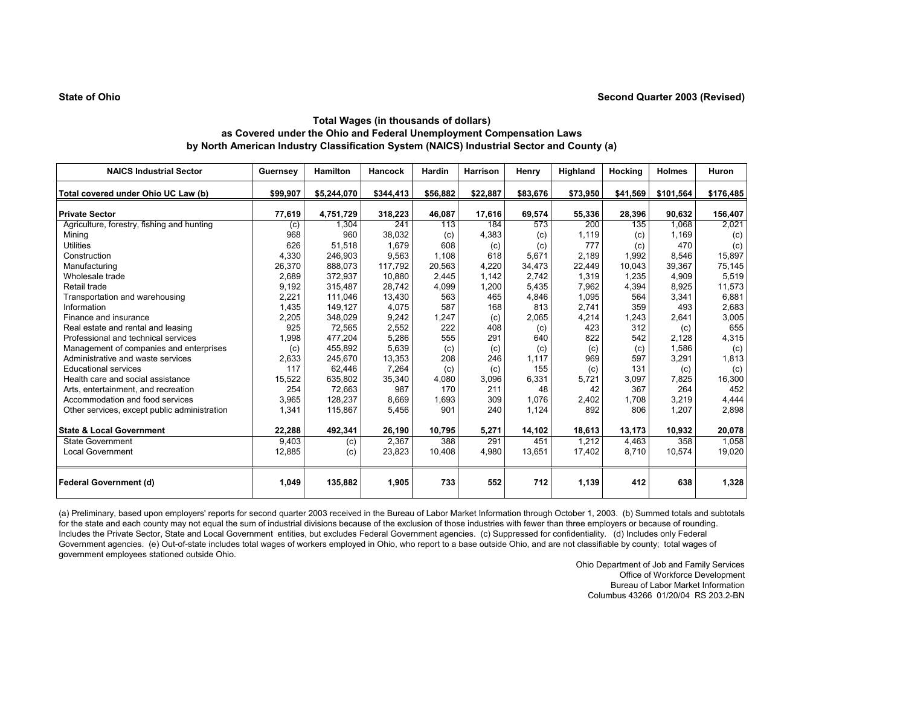# **State of Ohio**

# **Total Wages (in thousands of dollars) as Covered under the Ohio and Federal Unemployment Compensation Laws by North American Industry Classification System (NAICS) Industrial Sector and County (a)**

| <b>NAICS Industrial Sector</b>               | Guernsey | <b>Hamilton</b> | <b>Hancock</b> | Hardin   | Harrison | Henry    | Highland | Hocking  | <b>Holmes</b> | Huron     |
|----------------------------------------------|----------|-----------------|----------------|----------|----------|----------|----------|----------|---------------|-----------|
| Total covered under Ohio UC Law (b)          | \$99,907 | \$5,244,070     | \$344,413      | \$56,882 | \$22,887 | \$83,676 | \$73,950 | \$41,569 | \$101,564     | \$176,485 |
| <b>Private Sector</b>                        | 77,619   | 4,751,729       | 318,223        | 46,087   | 17,616   | 69,574   | 55,336   | 28,396   | 90,632        | 156,407   |
| Agriculture, forestry, fishing and hunting   | (c)      | 1.304           | 241            | 113      | 184      | 573      | 200      | 135      | 1.068         | 2,021     |
| Mining                                       | 968      | 960             | 38,032         | (c)      | 4,383    | (c)      | 1,119    | (c)      | 1.169         | (c)       |
| <b>Utilities</b>                             | 626      | 51,518          | 1,679          | 608      | (c)      | (c)      | 777      | (c)      | 470           | (c)       |
| Construction                                 | 4,330    | 246,903         | 9,563          | 1,108    | 618      | 5,671    | 2,189    | 1,992    | 8,546         | 15,897    |
| Manufacturing                                | 26,370   | 888,073         | 117,792        | 20,563   | 4,220    | 34,473   | 22,449   | 10,043   | 39,367        | 75,145    |
| Wholesale trade                              | 2,689    | 372,937         | 10,880         | 2,445    | 1,142    | 2,742    | 1,319    | 1,235    | 4,909         | 5,519     |
| Retail trade                                 | 9,192    | 315,487         | 28,742         | 4,099    | 1,200    | 5,435    | 7,962    | 4,394    | 8,925         | 11,573    |
| Transportation and warehousing               | 2,221    | 111,046         | 13,430         | 563      | 465      | 4,846    | 1,095    | 564      | 3,341         | 6,881     |
| Information                                  | 1,435    | 149,127         | 4,075          | 587      | 168      | 813      | 2,741    | 359      | 493           | 2,683     |
| Finance and insurance                        | 2,205    | 348,029         | 9,242          | 1,247    | (c)      | 2,065    | 4,214    | 1,243    | 2,641         | 3,005     |
| Real estate and rental and leasing           | 925      | 72,565          | 2,552          | 222      | 408      | (c)      | 423      | 312      | (c)           | 655       |
| Professional and technical services          | 1,998    | 477,204         | 5,286          | 555      | 291      | 640      | 822      | 542      | 2.128         | 4,315     |
| Management of companies and enterprises      | (c)      | 455,892         | 5,639          | (c)      | (c)      | (c)      | (c)      | (c)      | 1,586         | (c)       |
| Administrative and waste services            | 2,633    | 245,670         | 13,353         | 208      | 246      | 1,117    | 969      | 597      | 3,291         | 1,813     |
| <b>Educational services</b>                  | 117      | 62.446          | 7,264          | (c)      | (c)      | 155      | (c)      | 131      | (c)           | (c)       |
| Health care and social assistance            | 15,522   | 635,802         | 35,340         | 4,080    | 3,096    | 6,331    | 5,721    | 3,097    | 7,825         | 16,300    |
| Arts, entertainment, and recreation          | 254      | 72,663          | 987            | 170      | 211      | 48       | 42       | 367      | 264           | 452       |
| Accommodation and food services              | 3,965    | 128,237         | 8,669          | 1,693    | 309      | 1,076    | 2,402    | 1.708    | 3,219         | 4,444     |
| Other services, except public administration | 1,341    | 115,867         | 5,456          | 901      | 240      | 1,124    | 892      | 806      | 1,207         | 2,898     |
| <b>State &amp; Local Government</b>          | 22,288   | 492,341         | 26,190         | 10,795   | 5,271    | 14,102   | 18,613   | 13,173   | 10,932        | 20,078    |
| <b>State Government</b>                      | 9,403    | (c)             | 2,367          | 388      | 291      | 451      | 1,212    | 4.463    | 358           | 1,058     |
| <b>Local Government</b>                      | 12,885   | (c)             | 23,823         | 10,408   | 4,980    | 13,651   | 17,402   | 8,710    | 10,574        | 19,020    |
| <b>Federal Government (d)</b>                | 1,049    | 135,882         | 1,905          | 733      | 552      | 712      | 1,139    | 412      | 638           | 1,328     |

(a) Preliminary, based upon employers' reports for second quarter 2003 received in the Bureau of Labor Market Information through October 1, 2003. (b) Summed totals and subtotals for the state and each county may not equal the sum of industrial divisions because of the exclusion of those industries with fewer than three employers or because of rounding. Includes the Private Sector, State and Local Government entities, but excludes Federal Government agencies. (c) Suppressed for confidentiality. (d) Includes only Federal Government agencies. (e) Out-of-state includes total wages of workers employed in Ohio, who report to a base outside Ohio, and are not classifiable by county; total wages of government employees stationed outside Ohio.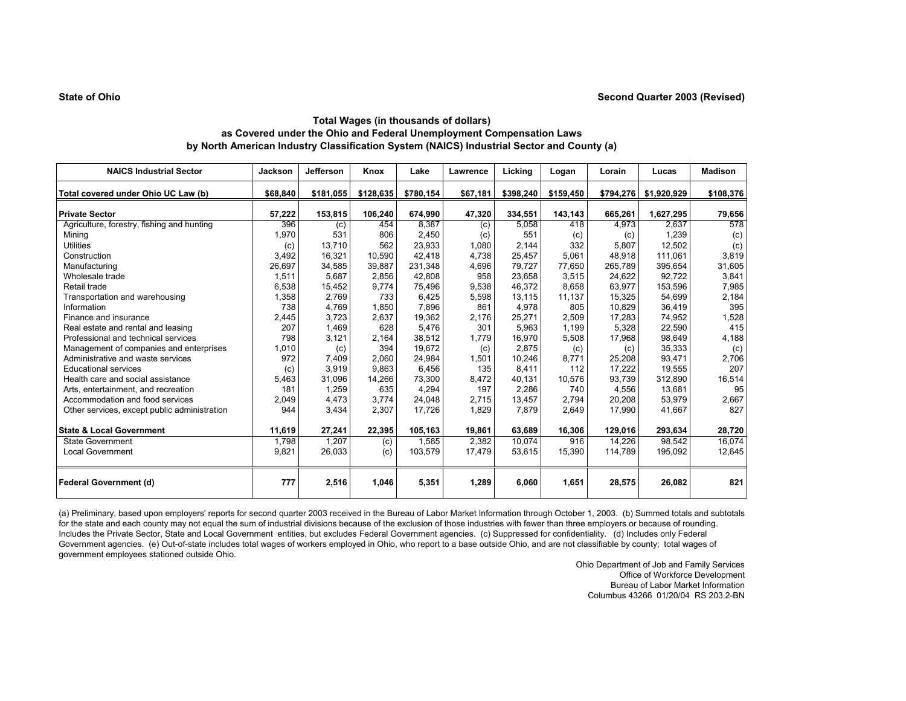| <b>NAICS Industrial Sector</b>               | <b>Jackson</b> | Jefferson | Knox      | Lake      | Lawrence | Licking   | Logan     | Lorain    | Lucas       | <b>Madison</b> |
|----------------------------------------------|----------------|-----------|-----------|-----------|----------|-----------|-----------|-----------|-------------|----------------|
| Total covered under Ohio UC Law (b)          | \$68,840       | \$181,055 | \$128,635 | \$780,154 | \$67,181 | \$398,240 | \$159,450 | \$794,276 | \$1,920,929 | \$108,376      |
| <b>Private Sector</b>                        | 57,222         | 153,815   | 106,240   | 674,990   | 47,320   | 334,551   | 143,143   | 665,261   | 1,627,295   | 79,656         |
| Agriculture, forestry, fishing and hunting   | 396            | (c)       | 454       | 8,387     | (c)      | 5,058     | 418       | 4,973     | 2,637       | 578            |
| Mining                                       | 1,970          | 531       | 806       | 2,450     | (c)      | 551       | (c)       | (c)       | 1,239       | (c)            |
| <b>Utilities</b>                             | (c)            | 13,710    | 562       | 23,933    | 1,080    | 2,144     | 332       | 5,807     | 12,502      | (c)            |
| Construction                                 | 3,492          | 16,321    | 10,590    | 42,418    | 4,738    | 25,457    | 5,061     | 48,918    | 111,061     | 3,819          |
| Manufacturing                                | 26,697         | 34,585    | 39,887    | 231,348   | 4,696    | 79,727    | 77,650    | 265,789   | 395,654     | 31,605         |
| Wholesale trade                              | 1,511          | 5,687     | 2,856     | 42,808    | 958      | 23,658    | 3,515     | 24,622    | 92,722      | 3,841          |
| Retail trade                                 | 6,538          | 15,452    | 9,774     | 75,496    | 9,538    | 46,372    | 8.658     | 63,977    | 153,596     | 7,985          |
| Transportation and warehousing               | 1,358          | 2.769     | 733       | 6,425     | 5,598    | 13,115    | 11,137    | 15,325    | 54,699      | 2,184          |
| Information                                  | 738            | 4,769     | 1,850     | 7,896     | 861      | 4,978     | 805       | 10,829    | 36,419      | 395            |
| Finance and insurance                        | 2,445          | 3,723     | 2,637     | 19,362    | 2,176    | 25,271    | 2,509     | 17,283    | 74,952      | 1,528          |
| Real estate and rental and leasing           | 207            | 1,469     | 628       | 5,476     | 301      | 5,963     | 1,199     | 5,328     | 22,590      | 415            |
| Professional and technical services          | 798            | 3,121     | 2,164     | 38,512    | 1,779    | 16,970    | 5,508     | 17,968    | 98,649      | 4,188          |
| Management of companies and enterprises      | 1,010          | (c)       | 394       | 19,672    | (c)      | 2.875     | (c)       | (c)       | 35,333      | (c)            |
| Administrative and waste services            | 972            | 7,409     | 2.060     | 24,984    | 1,501    | 10,246    | 8.771     | 25,208    | 93,471      | 2,706          |
| <b>Educational services</b>                  | (c)            | 3,919     | 9,863     | 6,456     | 135      | 8,411     | 112       | 17,222    | 19,555      | 207            |
| Health care and social assistance            | 5,463          | 31,096    | 14,266    | 73,300    | 8,472    | 40,131    | 10,576    | 93,739    | 312,890     | 16,514         |
| Arts, entertainment, and recreation          | 181            | 1,259     | 635       | 4,294     | 197      | 2,286     | 740       | 4,556     | 13,681      | 95             |
| Accommodation and food services              | 2,049          | 4,473     | 3,774     | 24,048    | 2,715    | 13,457    | 2,794     | 20,208    | 53,979      | 2,667          |
| Other services, except public administration | 944            | 3,434     | 2,307     | 17,726    | 1,829    | 7.879     | 2,649     | 17,990    | 41,667      | 827            |
| <b>State &amp; Local Government</b>          | 11,619         | 27,241    | 22,395    | 105,163   | 19,861   | 63,689    | 16,306    | 129,016   | 293,634     | 28,720         |
| <b>State Government</b>                      | 1,798          | 1,207     | (c)       | 1,585     | 2,382    | 10,074    | 916       | 14,226    | 98,542      | 16,074         |
| <b>Local Government</b>                      | 9,821          | 26,033    | (c)       | 103,579   | 17,479   | 53,615    | 15,390    | 114,789   | 195,092     | 12,645         |
| <b>Federal Government (d)</b>                | 777            | 2,516     | 1,046     | 5,351     | 1,289    | 6,060     | 1,651     | 28,575    | 26,082      | 821            |

(a) Preliminary, based upon employers' reports for second quarter 2003 received in the Bureau of Labor Market Information through October 1, 2003. (b) Summed totals and subtotals for the state and each county may not equal the sum of industrial divisions because of the exclusion of those industries with fewer than three employers or because of rounding. Includes the Private Sector, State and Local Government entities, but excludes Federal Government agencies. (c) Suppressed for confidentiality. (d) Includes only Federal Government agencies. (e) Out-of-state includes total wages of workers employed in Ohio, who report to a base outside Ohio, and are not classifiable by county; total wages of government employees stationed outside Ohio.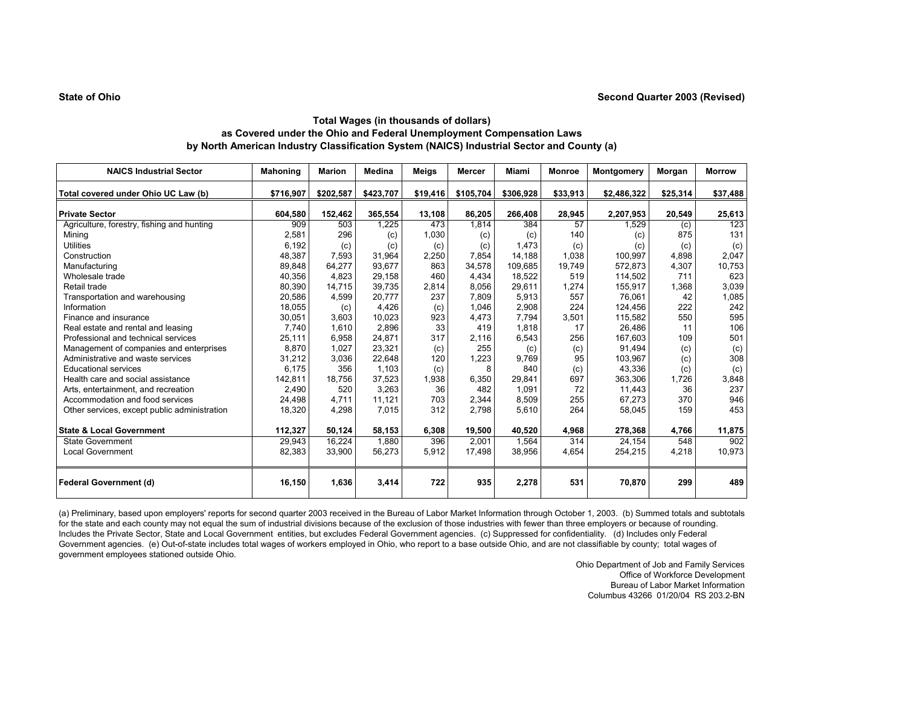#### **State of Ohio**

# **Total Wages (in thousands of dollars) as Covered under the Ohio and Federal Unemployment Compensation Laws by North American Industry Classification System (NAICS) Industrial Sector and County (a)**

| <b>NAICS Industrial Sector</b>               | <b>Mahoning</b> | <b>Marion</b> | Medina    | Meigs    | <b>Mercer</b> | Miami     | <b>Monroe</b> | Montgomery  | Morgan   | <b>Morrow</b> |
|----------------------------------------------|-----------------|---------------|-----------|----------|---------------|-----------|---------------|-------------|----------|---------------|
| Total covered under Ohio UC Law (b)          | \$716,907       | \$202,587     | \$423,707 | \$19,416 | \$105,704     | \$306,928 | \$33,913      | \$2,486,322 | \$25,314 | \$37,488      |
| <b>Private Sector</b>                        | 604,580         | 152,462       | 365,554   | 13,108   | 86,205        | 266,408   | 28,945        | 2,207,953   | 20,549   | 25,613        |
| Agriculture, forestry, fishing and hunting   | 909             | 503           | 1,225     | 473      | 1,814         | 384       | 57            | 1,529       | (c)      | 123           |
| Mining                                       | 2,581           | 296           | (c)       | 1,030    | (c)           | (c)       | 140           | (c)         | 875      | 131           |
| <b>Utilities</b>                             | 6,192           | (c)           | (c)       | (c)      | (c)           | 1,473     | (c)           | (c)         | (c)      | (c)           |
| Construction                                 | 48,387          | 7,593         | 31.964    | 2,250    | 7.854         | 14,188    | 1,038         | 100,997     | 4,898    | 2,047         |
| Manufacturing                                | 89,848          | 64,277        | 93,677    | 863      | 34,578        | 109,685   | 19,749        | 572,873     | 4,307    | 10,753        |
| Wholesale trade                              | 40,356          | 4,823         | 29,158    | 460      | 4,434         | 18,522    | 519           | 114,502     | 711      | 623           |
| Retail trade                                 | 80,390          | 14,715        | 39,735    | 2,814    | 8,056         | 29,611    | 1,274         | 155,917     | 1,368    | 3,039         |
| Transportation and warehousing               | 20,586          | 4,599         | 20,777    | 237      | 7,809         | 5,913     | 557           | 76,061      | 42       | 1,085         |
| Information                                  | 18,055          | (c)           | 4,426     | (c)      | 1.046         | 2,908     | 224           | 124,456     | 222      | 242           |
| Finance and insurance                        | 30,051          | 3,603         | 10.023    | 923      | 4,473         | 7.794     | 3,501         | 115,582     | 550      | 595           |
| Real estate and rental and leasing           | 7,740           | 1,610         | 2,896     | 33       | 419           | 1,818     | 17            | 26,486      | 11       | 106           |
| Professional and technical services          | 25,111          | 6,958         | 24,871    | 317      | 2,116         | 6,543     | 256           | 167,603     | 109      | 501           |
| Management of companies and enterprises      | 8.870           | 1,027         | 23,321    | (c)      | 255           | (c)       | (c)           | 91.494      | (c)      | (c)           |
| Administrative and waste services            | 31,212          | 3,036         | 22,648    | 120      | 1,223         | 9,769     | 95            | 103,967     | (c)      | 308           |
| <b>Educational services</b>                  | 6,175           | 356           | 1,103     | (c)      | 8             | 840       | (c)           | 43,336      | (c)      | (c)           |
| Health care and social assistance            | 142,811         | 18,756        | 37,523    | 1,938    | 6,350         | 29,841    | 697           | 363.306     | 1,726    | 3,848         |
| Arts, entertainment, and recreation          | 2,490           | 520           | 3,263     | 36       | 482           | 1.091     | 72            | 11.443      | 36       | 237           |
| Accommodation and food services              | 24,498          | 4.711         | 11,121    | 703      | 2,344         | 8,509     | 255           | 67,273      | 370      | 946           |
| Other services, except public administration | 18,320          | 4,298         | 7,015     | 312      | 2,798         | 5,610     | 264           | 58,045      | 159      | 453           |
| <b>State &amp; Local Government</b>          |                 |               |           |          |               |           |               |             |          |               |
|                                              | 112,327         | 50,124        | 58,153    | 6,308    | 19,500        | 40,520    | 4,968         | 278,368     | 4,766    | 11,875<br>902 |
| <b>State Government</b>                      | 29,943          | 16,224        | 1,880     | 396      | 2,001         | 1,564     | 314           | 24.154      | 548      |               |
| <b>Local Government</b>                      | 82,383          | 33,900        | 56,273    | 5.912    | 17.498        | 38,956    | 4,654         | 254,215     | 4,218    | 10,973        |
| <b>Federal Government (d)</b>                | 16,150          | 1,636         | 3,414     | 722      | 935           | 2,278     | 531           | 70,870      | 299      | 489           |

(a) Preliminary, based upon employers' reports for second quarter 2003 received in the Bureau of Labor Market Information through October 1, 2003. (b) Summed totals and subtotals for the state and each county may not equal the sum of industrial divisions because of the exclusion of those industries with fewer than three employers or because of rounding. Includes the Private Sector, State and Local Government entities, but excludes Federal Government agencies. (c) Suppressed for confidentiality. (d) Includes only Federal Government agencies. (e) Out-of-state includes total wages of workers employed in Ohio, who report to a base outside Ohio, and are not classifiable by county; total wages of government employees stationed outside Ohio.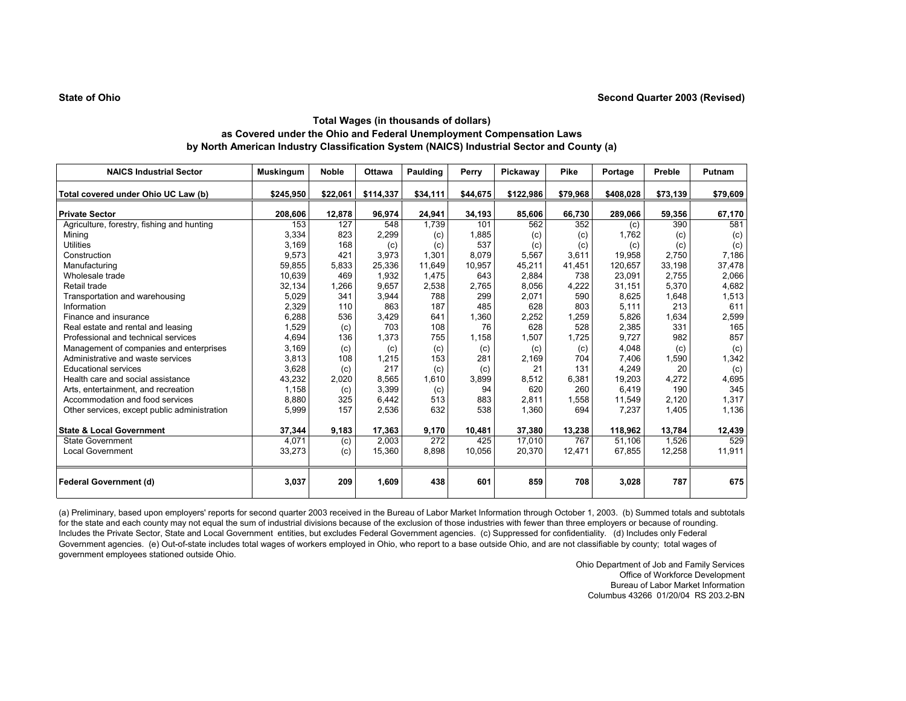| <b>NAICS Industrial Sector</b>               | <b>Muskingum</b> | <b>Noble</b> | <b>Ottawa</b> | Paulding | Perry    | Pickaway  | Pike     | Portage   | Preble   | Putnam   |
|----------------------------------------------|------------------|--------------|---------------|----------|----------|-----------|----------|-----------|----------|----------|
| Total covered under Ohio UC Law (b)          | \$245,950        | \$22,061     | \$114,337     | \$34,111 | \$44,675 | \$122,986 | \$79,968 | \$408,028 | \$73,139 | \$79,609 |
| <b>Private Sector</b>                        | 208,606          | 12,878       | 96.974        | 24.941   | 34,193   | 85,606    | 66.730   | 289,066   | 59,356   | 67,170   |
| Agriculture, forestry, fishing and hunting   | 153              | 127          | 548           | 1,739    | 101      | 562       | 352      | (c)       | 390      | 581      |
| Mining                                       | 3,334            | 823          | 2,299         | (c)      | 1,885    | (c)       | (c)      | 1.762     | (c)      | (c)      |
| <b>Utilities</b>                             | 3,169            | 168          | (c)           | (c)      | 537      | (c)       | (c)      | (c)       | (c)      | (c)      |
| Construction                                 | 9,573            | 421          | 3,973         | 1,301    | 8,079    | 5,567     | 3,611    | 19,958    | 2,750    | 7,186    |
| Manufacturing                                | 59,855           | 5,833        | 25,336        | 11,649   | 10,957   | 45,211    | 41,451   | 120,657   | 33,198   | 37,478   |
| Wholesale trade                              | 10,639           | 469          | 1,932         | 1,475    | 643      | 2.884     | 738      | 23.091    | 2,755    | 2,066    |
| Retail trade                                 | 32,134           | 1,266        | 9,657         | 2,538    | 2,765    | 8,056     | 4,222    | 31.151    | 5,370    | 4,682    |
| Transportation and warehousing               | 5,029            | 341          | 3,944         | 788      | 299      | 2,071     | 590      | 8,625     | 1,648    | 1,513    |
| Information                                  | 2,329            | 110          | 863           | 187      | 485      | 628       | 803      | 5,111     | 213      | 611      |
| Finance and insurance                        | 6,288            | 536          | 3,429         | 641      | 1,360    | 2,252     | 1,259    | 5,826     | 1,634    | 2,599    |
| Real estate and rental and leasing           | 1,529            | (c)          | 703           | 108      | 76       | 628       | 528      | 2,385     | 331      | 165      |
| Professional and technical services          | 4,694            | 136          | 1,373         | 755      | 1,158    | 1,507     | 1,725    | 9,727     | 982      | 857      |
| Management of companies and enterprises      | 3,169            | (c)          | (c)           | (c)      | (c)      | (c)       | (c)      | 4,048     | (c)      | (c)      |
| Administrative and waste services            | 3,813            | 108          | 1,215         | 153      | 281      | 2,169     | 704      | 7,406     | 1,590    | 1,342    |
| <b>Educational services</b>                  | 3.628            | (c)          | 217           | (c)      | (c)      | 21        | 131      | 4.249     | 20       | (c)      |
| Health care and social assistance            | 43,232           | 2,020        | 8,565         | 1,610    | 3,899    | 8,512     | 6,381    | 19,203    | 4,272    | 4,695    |
| Arts, entertainment, and recreation          | 1,158            | (c)          | 3,399         | (c)      | 94       | 620       | 260      | 6.419     | 190      | 345      |
| Accommodation and food services              | 8,880            | 325          | 6,442         | 513      | 883      | 2,811     | 1,558    | 11.549    | 2,120    | 1,317    |
| Other services, except public administration | 5,999            | 157          | 2,536         | 632      | 538      | 1,360     | 694      | 7,237     | 1,405    | 1,136    |
| <b>State &amp; Local Government</b>          | 37,344           | 9,183        | 17,363        | 9,170    | 10,481   | 37,380    | 13,238   | 118,962   | 13,784   | 12,439   |
| <b>State Government</b>                      | 4,071            | (c)          | 2.003         | 272      | 425      | 17,010    | 767      | 51,106    | 1,526    | 529      |
| <b>Local Government</b>                      | 33,273           | (c)          | 15,360        | 8,898    | 10,056   | 20,370    | 12,471   | 67,855    | 12,258   | 11,911   |
| <b>Federal Government (d)</b>                | 3,037            | 209          | 1,609         | 438      | 601      | 859       | 708      | 3,028     | 787      | 675      |

(a) Preliminary, based upon employers' reports for second quarter 2003 received in the Bureau of Labor Market Information through October 1, 2003. (b) Summed totals and subtotals for the state and each county may not equal the sum of industrial divisions because of the exclusion of those industries with fewer than three employers or because of rounding. Includes the Private Sector, State and Local Government entities, but excludes Federal Government agencies. (c) Suppressed for confidentiality. (d) Includes only Federal Government agencies. (e) Out-of-state includes total wages of workers employed in Ohio, who report to a base outside Ohio, and are not classifiable by county; total wages of government employees stationed outside Ohio.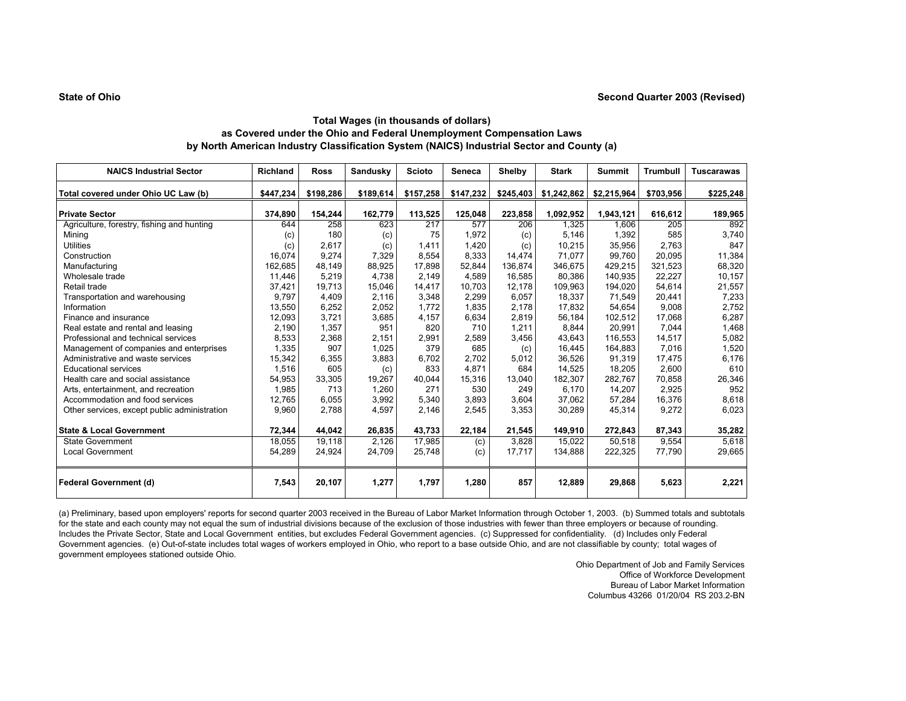| <b>NAICS Industrial Sector</b>               | <b>Richland</b> | <b>Ross</b> | <b>Sandusky</b> | <b>Scioto</b> | Seneca    | <b>Shelby</b> | <b>Stark</b> | <b>Summit</b> | <b>Trumbull</b> | <b>Tuscarawas</b> |
|----------------------------------------------|-----------------|-------------|-----------------|---------------|-----------|---------------|--------------|---------------|-----------------|-------------------|
| Total covered under Ohio UC Law (b)          | \$447,234       | \$198,286   | \$189,614       | \$157,258     | \$147,232 | \$245,403     | \$1,242,862  | \$2,215,964   | \$703,956       | \$225,248         |
| <b>Private Sector</b>                        | 374,890         | 154,244     | 162,779         | 113,525       | 125,048   | 223,858       | 1,092,952    | 1,943,121     | 616,612         | 189,965           |
| Agriculture, forestry, fishing and hunting   | 644             | 258         | 623             | 217           | 577       | 206           | 1,325        | 1,606         | 205             | 892               |
| Mining                                       | (c)             | 180         | (c)             | 75            | 1,972     | (c)           | 5,146        | 1,392         | 585             | 3,740             |
| <b>Utilities</b>                             | (c)             | 2,617       | (c)             | 1,411         | 1,420     | (c)           | 10,215       | 35,956        | 2,763           | 847               |
| Construction                                 | 16,074          | 9,274       | 7,329           | 8,554         | 8,333     | 14,474        | 71,077       | 99,760        | 20,095          | 11,384            |
| Manufacturing                                | 162,685         | 48,149      | 88,925          | 17,898        | 52,844    | 136,874       | 346,675      | 429,215       | 321,523         | 68,320            |
| Wholesale trade                              | 11,446          | 5,219       | 4.738           | 2,149         | 4,589     | 16,585        | 80,386       | 140,935       | 22,227          | 10,157            |
| Retail trade                                 | 37,421          | 19,713      | 15,046          | 14,417        | 10.703    | 12.178        | 109,963      | 194,020       | 54,614          | 21,557            |
| Transportation and warehousing               | 9.797           | 4.409       | 2.116           | 3,348         | 2,299     | 6,057         | 18.337       | 71,549        | 20,441          | 7,233             |
| Information                                  | 13,550          | 6,252       | 2,052           | 1,772         | 1,835     | 2,178         | 17,832       | 54,654        | 9,008           | 2,752             |
| Finance and insurance                        | 12,093          | 3,721       | 3,685           | 4,157         | 6,634     | 2,819         | 56,184       | 102,512       | 17,068          | 6,287             |
| Real estate and rental and leasing           | 2,190           | 1,357       | 951             | 820           | 710       | 1,211         | 8,844        | 20,991        | 7,044           | 1,468             |
| Professional and technical services          | 8,533           | 2,368       | 2,151           | 2,991         | 2,589     | 3,456         | 43,643       | 116,553       | 14,517          | 5,082             |
| Management of companies and enterprises      | 1,335           | 907         | 1,025           | 379           | 685       | (c)           | 16.445       | 164.883       | 7,016           | 1,520             |
| Administrative and waste services            | 15,342          | 6,355       | 3,883           | 6.702         | 2.702     | 5,012         | 36.526       | 91.319        | 17,475          | 6,176             |
| <b>Educational services</b>                  | 1,516           | 605         | (c)             | 833           | 4,871     | 684           | 14,525       | 18,205        | 2,600           | 610               |
| Health care and social assistance            | 54,953          | 33,305      | 19,267          | 40,044        | 15,316    | 13,040        | 182,307      | 282,767       | 70,858          | 26,346            |
| Arts, entertainment, and recreation          | 1,985           | 713         | 1,260           | 271           | 530       | 249           | 6,170        | 14,207        | 2,925           | 952               |
| Accommodation and food services              | 12,765          | 6,055       | 3,992           | 5,340         | 3,893     | 3,604         | 37,062       | 57,284        | 16,376          | 8,618             |
| Other services, except public administration | 9,960           | 2,788       | 4,597           | 2,146         | 2,545     | 3,353         | 30,289       | 45,314        | 9,272           | 6,023             |
| <b>State &amp; Local Government</b>          | 72,344          | 44,042      | 26,835          | 43,733        | 22,184    | 21,545        | 149,910      | 272,843       | 87,343          | 35,282            |
| <b>State Government</b>                      | 18,055          | 19,118      | 2,126           | 17,985        | (c)       | 3,828         | 15,022       | 50,518        | 9,554           | 5,618             |
| <b>Local Government</b>                      | 54,289          | 24,924      | 24,709          | 25,748        | (c)       | 17,717        | 134,888      | 222,325       | 77,790          | 29,665            |
| <b>Federal Government (d)</b>                | 7,543           | 20,107      | 1,277           | 1,797         | 1,280     | 857           | 12,889       | 29,868        | 5,623           | 2,221             |

(a) Preliminary, based upon employers' reports for second quarter 2003 received in the Bureau of Labor Market Information through October 1, 2003. (b) Summed totals and subtotals for the state and each county may not equal the sum of industrial divisions because of the exclusion of those industries with fewer than three employers or because of rounding. Includes the Private Sector, State and Local Government entities, but excludes Federal Government agencies. (c) Suppressed for confidentiality. (d) Includes only Federal Government agencies. (e) Out-of-state includes total wages of workers employed in Ohio, who report to a base outside Ohio, and are not classifiable by county; total wages of government employees stationed outside Ohio.